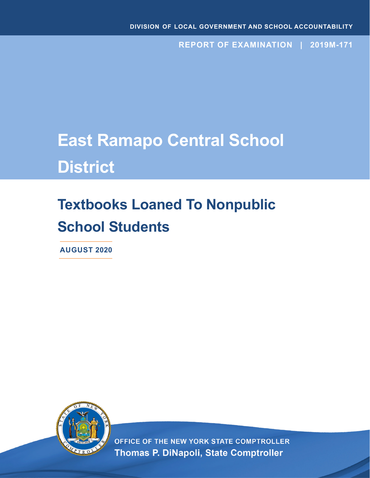**REPORT OF EXAMINATION | 2019M-171**

# **East Ramapo Central School District**

# **Textbooks Loaned To Nonpublic School Students**

**AUGUST 2020**



OFFICE OF THE NEW YORK STATE COMPTROLLER Thomas P. DiNapoli, State Comptroller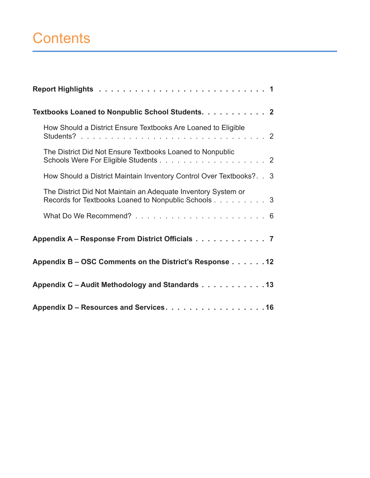# **Contents**

| Textbooks Loaned to Nonpublic School Students. 2                                                                     |
|----------------------------------------------------------------------------------------------------------------------|
| How Should a District Ensure Textbooks Are Loaned to Eligible                                                        |
| The District Did Not Ensure Textbooks Loaned to Nonpublic                                                            |
| How Should a District Maintain Inventory Control Over Textbooks?. . 3                                                |
| The District Did Not Maintain an Adequate Inventory System or<br>Records for Textbooks Loaned to Nonpublic Schools 3 |
|                                                                                                                      |
| Appendix A - Response From District Officials 7                                                                      |
| Appendix B – OSC Comments on the District's Response 12                                                              |
| Appendix C - Audit Methodology and Standards 13                                                                      |
| Appendix D – Resources and Services. 16                                                                              |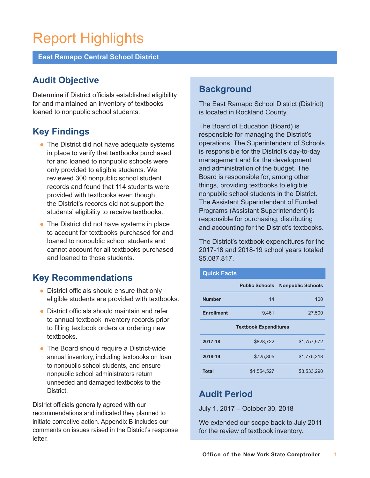# Report Highlights

**East Ramapo Central School District**

## **Audit Objective**

Determine if District officials established eligibility for and maintained an inventory of textbooks loaned to nonpublic school students.

## **Key Findings**

- $\bullet$  The District did not have adequate systems in place to verify that textbooks purchased for and loaned to nonpublic schools were only provided to eligible students. We reviewed 300 nonpublic school student records and found that 114 students were provided with textbooks even though the District's records did not support the students' eligibility to receive textbooks.
- $\bullet$  The District did not have systems in place to account for textbooks purchased for and loaned to nonpublic school students and cannot account for all textbooks purchased and loaned to those students.

## **Key Recommendations**

- District officials should ensure that only eligible students are provided with textbooks.
- District officials should maintain and refer to annual textbook inventory records prior to filling textbook orders or ordering new textbooks.
- The Board should require a District-wide annual inventory, including textbooks on loan to nonpublic school students, and ensure nonpublic school administrators return unneeded and damaged textbooks to the **District**

District officials generally agreed with our recommendations and indicated they planned to initiate corrective action. Appendix B includes our comments on issues raised in the District's response letter.

## **Background**

The East Ramapo School District (District) is located in Rockland County.

The Board of Education (Board) is responsible for managing the District's operations. The Superintendent of Schools is responsible for the District's day-to-day management and for the development and administration of the budget. The Board is responsible for, among other things, providing textbooks to eligible nonpublic school students in the District. The Assistant Superintendent of Funded Programs (Assistant Superintendent) is responsible for purchasing, distributing and accounting for the District's textbooks.

The District's textbook expenditures for the 2017-18 and 2018-19 school years totaled \$5,087,817.

| <b>Quick Facts</b>           |                       |                          |  |  |  |  |
|------------------------------|-----------------------|--------------------------|--|--|--|--|
|                              | <b>Public Schools</b> | <b>Nonpublic Schools</b> |  |  |  |  |
| <b>Number</b>                | 14                    | 100                      |  |  |  |  |
| <b>Enrollment</b>            | 9.461                 | 27,500                   |  |  |  |  |
| <b>Textbook Expenditures</b> |                       |                          |  |  |  |  |
| 2017-18                      | \$828,722             | \$1,757,972              |  |  |  |  |
| 2018-19                      | \$725.805             | \$1.775.318              |  |  |  |  |
| <b>Total</b>                 | \$1,554,527           | \$3,533,290              |  |  |  |  |

## **Audit Period**

July 1, 2017 – October 30, 2018

We extended our scope back to July 2011 for the review of textbook inventory.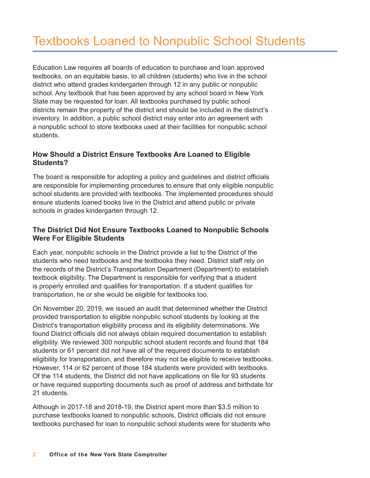Education Law requires all boards of education to purchase and loan approved textbooks, on an equitable basis, to all children (students) who live in the school district who attend grades kindergarten through 12 in any public or nonpublic school. Any textbook that has been approved by any school board in New York State may be requested for loan. All textbooks purchased by public school districts remain the property of the district and should be included in the district's inventory. In addition, a public school district may enter into an agreement with a nonpublic school to store textbooks used at their facilities for nonpublic school students.

## **How Should a District Ensure Textbooks Are Loaned to Eligible Students?**

The board is responsible for adopting a policy and guidelines and district officials are responsible for implementing procedures to ensure that only eligible nonpublic school students are provided with textbooks. The implemented procedures should ensure students loaned books live in the District and attend public or private schools in grades kindergarten through 12.

## **The District Did Not Ensure Textbooks Loaned to Nonpublic Schools Were For Eligible Students**

Each year, nonpublic schools in the District provide a list to the District of the students who need textbooks and the textbooks they need. District staff rely on the records of the District's Transportation Department (Department) to establish textbook eligibility. The Department is responsible for verifying that a student is properly enrolled and qualifies for transportation. If a student qualifies for transportation, he or she would be eligible for textbooks too.

On November 20, 2019, we issued an audit that determined whether the District provided transportation to eligible nonpublic school students by looking at the District's transportation eligibility process and its eligibility determinations. We found District officials did not always obtain required documentation to establish eligibility. We reviewed 300 nonpublic school student records and found that 184 students or 61 percent did not have all of the required documents to establish eligibility for transportation, and therefore may not be eligible to receive textbooks. However, 114 or 62 percent of those 184 students were provided with textbooks. Of the 114 students, the District did not have applications on file for 93 students or have required supporting documents such as proof of address and birthdate for 21 students.

Although in 2017-18 and 2018-19, the District spent more than \$3.5 million to purchase textbooks loaned to nonpublic schools, District officials did not ensure textbooks purchased for loan to nonpublic school students were for students who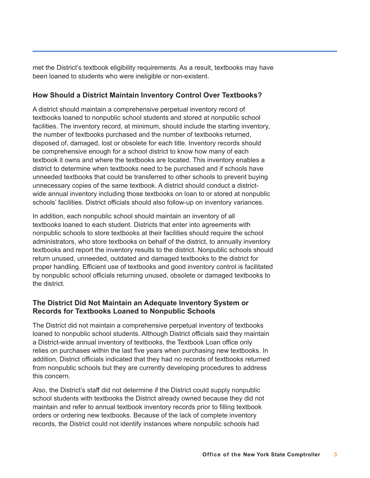met the District's textbook eligibility requirements. As a result, textbooks may have been loaned to students who were ineligible or non-existent.

### **How Should a District Maintain Inventory Control Over Textbooks?**

A district should maintain a comprehensive perpetual inventory record of textbooks loaned to nonpublic school students and stored at nonpublic school facilities. The inventory record, at minimum, should include the starting inventory, the number of textbooks purchased and the number of textbooks returned, disposed of, damaged, lost or obsolete for each title. Inventory records should be comprehensive enough for a school district to know how many of each textbook it owns and where the textbooks are located. This inventory enables a district to determine when textbooks need to be purchased and if schools have unneeded textbooks that could be transferred to other schools to prevent buying unnecessary copies of the same textbook. A district should conduct a districtwide annual inventory including those textbooks on loan to or stored at nonpublic schools' facilities. District officials should also follow-up on inventory variances.

In addition, each nonpublic school should maintain an inventory of all textbooks loaned to each student. Districts that enter into agreements with nonpublic schools to store textbooks at their facilities should require the school administrators, who store textbooks on behalf of the district, to annually inventory textbooks and report the inventory results to the district. Nonpublic schools should return unused, unneeded, outdated and damaged textbooks to the district for proper handling. Efficient use of textbooks and good inventory control is facilitated by nonpublic school officials returning unused, obsolete or damaged textbooks to the district.

### **The District Did Not Maintain an Adequate Inventory System or Records for Textbooks Loaned to Nonpublic Schools**

The District did not maintain a comprehensive perpetual inventory of textbooks loaned to nonpublic school students. Although District officials said they maintain a District-wide annual inventory of textbooks, the Textbook Loan office only relies on purchases within the last five years when purchasing new textbooks. In addition, District officials indicated that they had no records of textbooks returned from nonpublic schools but they are currently developing procedures to address this concern.

Also, the District's staff did not determine if the District could supply nonpublic school students with textbooks the District already owned because they did not maintain and refer to annual textbook inventory records prior to filling textbook orders or ordering new textbooks. Because of the lack of complete inventory records, the District could not identify instances where nonpublic schools had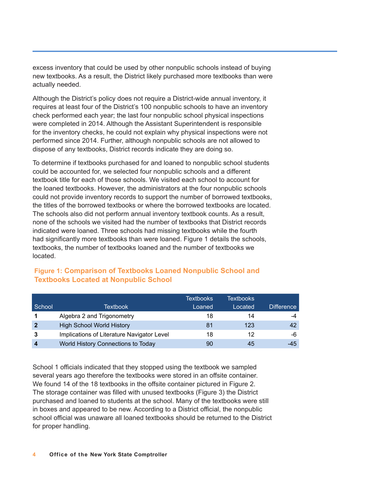excess inventory that could be used by other nonpublic schools instead of buying new textbooks. As a result, the District likely purchased more textbooks than were actually needed.

Although the District's policy does not require a District-wide annual inventory, it requires at least four of the District's 100 nonpublic schools to have an inventory check performed each year; the last four nonpublic school physical inspections were completed in 2014. Although the Assistant Superintendent is responsible for the inventory checks, he could not explain why physical inspections were not performed since 2014. Further, although nonpublic schools are not allowed to dispose of any textbooks, District records indicate they are doing so.

To determine if textbooks purchased for and loaned to nonpublic school students could be accounted for, we selected four nonpublic schools and a different textbook title for each of those schools. We visited each school to account for the loaned textbooks. However, the administrators at the four nonpublic schools could not provide inventory records to support the number of borrowed textbooks, the titles of the borrowed textbooks or where the borrowed textbooks are located. The schools also did not perform annual inventory textbook counts. As a result, none of the schools we visited had the number of textbooks that District records indicated were loaned. Three schools had missing textbooks while the fourth had significantly more textbooks than were loaned. Figure 1 details the schools, textbooks, the number of textbooks loaned and the number of textbooks we located.

|                  |                                            | <b>Textbooks</b> | <b>Textbooks</b> |                   |
|------------------|--------------------------------------------|------------------|------------------|-------------------|
| School           | Textbook                                   | Loaned           | Located          | <b>Difference</b> |
| 1                | Algebra 2 and Trigonometry                 | 18               | 14               | -4                |
| $\overline{2}$   | <b>High School World History</b>           | 81               | 123              | 42                |
| 3                | Implications of Literature Navigator Level | 18               | 12               | -6                |
| $\boldsymbol{4}$ | World History Connections to Today         | 90               | 45               | -45               |

### **Figure 1: Comparison of Textbooks Loaned Nonpublic School and Textbooks Located at Nonpublic School**

School 1 officials indicated that they stopped using the textbook we sampled several years ago therefore the textbooks were stored in an offsite container. We found 14 of the 18 textbooks in the offsite container pictured in Figure 2. The storage container was filled with unused textbooks (Figure 3) the District purchased and loaned to students at the school. Many of the textbooks were still in boxes and appeared to be new. According to a District official, the nonpublic school official was unaware all loaned textbooks should be returned to the District for proper handling.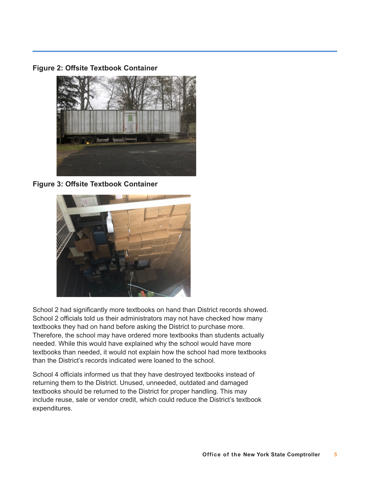**Figure 2: Offsite Textbook Container**



**Figure 3: Offsite Textbook Container** 



School 2 had significantly more textbooks on hand than District records showed. School 2 officials told us their administrators may not have checked how many textbooks they had on hand before asking the District to purchase more. Therefore, the school may have ordered more textbooks than students actually needed. While this would have explained why the school would have more textbooks than needed, it would not explain how the school had more textbooks than the District's records indicated were loaned to the school.

School 4 officials informed us that they have destroyed textbooks instead of returning them to the District. Unused, unneeded, outdated and damaged textbooks should be returned to the District for proper handling. This may include reuse, sale or vendor credit, which could reduce the District's textbook expenditures.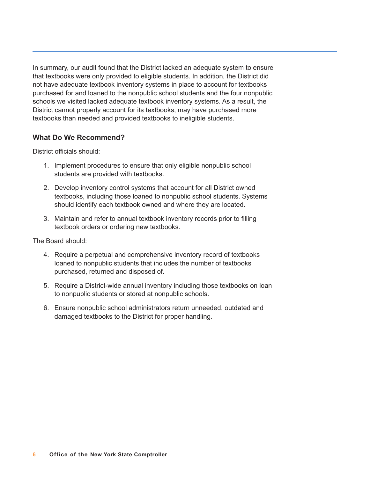In summary, our audit found that the District lacked an adequate system to ensure that textbooks were only provided to eligible students. In addition, the District did not have adequate textbook inventory systems in place to account for textbooks purchased for and loaned to the nonpublic school students and the four nonpublic schools we visited lacked adequate textbook inventory systems. As a result, the District cannot properly account for its textbooks, may have purchased more textbooks than needed and provided textbooks to ineligible students.

### **What Do We Recommend?**

District officials should:

- 1. Implement procedures to ensure that only eligible nonpublic school students are provided with textbooks.
- 2. Develop inventory control systems that account for all District owned textbooks, including those loaned to nonpublic school students. Systems should identify each textbook owned and where they are located.
- 3. Maintain and refer to annual textbook inventory records prior to filling textbook orders or ordering new textbooks.

The Board should:

- 4. Require a perpetual and comprehensive inventory record of textbooks loaned to nonpublic students that includes the number of textbooks purchased, returned and disposed of.
- 5. Require a District-wide annual inventory including those textbooks on loan to nonpublic students or stored at nonpublic schools.
- 6. Ensure nonpublic school administrators return unneeded, outdated and damaged textbooks to the District for proper handling.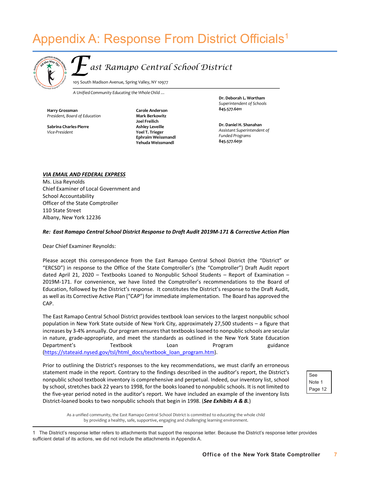## Appendix A: Response From District Officials<sup>1</sup>



ast Ramapo Central School District

105 South Madison Avenue, Spring Valley, NY 10977

*A Unified Community Educating the Whole Child …*

**Harry Grossman** *President, Board of Education*

*Vice-President*

 **845.577.6031 Yehuda Weissmandl Carole Anderson Mark Berkowitz Joel Freilich Ashley Leveille Yoel T. Trieger Ephraim Weissmandl**

**Dr. Deborah L. Wortham**  *Superintendent of Schools*  **845.577.6011**

 **Dr. Daniel H. Shanahan Sabrina Charles-Pierre** *Assistant Superintendent of Funded Programs*

#### *VIA EMAIL AND FEDERAL EXPRESS*

Ms. Lisa Reynolds Chief Examiner of Local Government and School Accountability Officer of the State Comptroller 110 State Street Albany, New York 12236

#### *Re: East Ramapo Central School District Response to Draft Audit 2019M-171 & Corrective Action Plan*

Dear Chief Examiner Reynolds:

Please accept this correspondence from the East Ramapo Central School District (the "District" or "ERCSD") in response to the Office of the State Comptroller's (the "Comptroller") Draft Audit report dated April 21, 2020 – Textbooks Loaned to Nonpublic School Students – Report of Examination – 2019M-171. For convenience, we have listed the Comptroller's recommendations to the Board of Education, followed by the District's response. It constitutes the District's response to the Draft Audit, as well as its Corrective Active Plan ("CAP") for immediate implementation. The Board has approved the CAP.

The East Ramapo Central School District provides textbook loan services to the largest nonpublic school population in New York State outside of New York City, approximately 27,500 students – a figure that increases by 3-4% annually. Our program ensures that textbooks loaned to nonpublic schools are secular in nature, grade-appropriate, and meet the standards as outlined in the New York State Education Department's Textbook Loan Program guidance ([https://stateaid.nysed.gov/tsl/html\\_docs/textbook\\_loan\\_program.htm\).](https://stateaid.nysed.gov/tsl/html_docs/textbook_loan_program.htm) 

Prior to outlining the District's responses to the key recommendations, we must clarify an erroneous statement made in the report. Contrary to the findings described in the auditor's report, the District's nonpublic school textbook inventory is comprehensive and perpetual. Indeed, our inventory list, school by school, stretches back 22 years to 1998, for the books loaned to nonpublic schools. It is not limited to the five-year period noted in the auditor's report. We have included an example of the inventory lists District-loaned books to two nonpublic schools that begin in 1998. (*See Exhibits A & B.*)

See Note 1 Page 12

As a unified community, the East Ramapo Central School District is committed to educating the whole child by providing a healthy, safe, supportive, engaging and challenging learning environment.

<sup>1</sup> The District's response letter refers to attachments that support the response letter. Because the District's response letter provides sufficient detail of its actions, we did not include the attachments in Appendix A.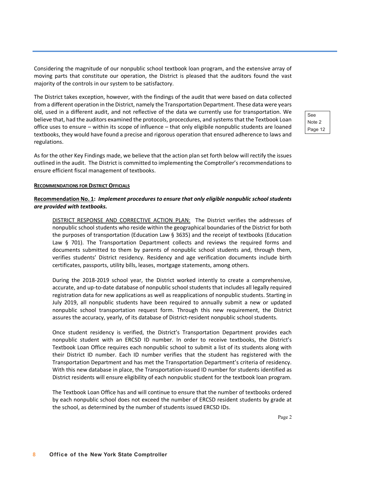Considering the magnitude of our nonpublic school textbook loan program, and the extensive array of moving parts that constitute our operation, the District is pleased that the auditors found the vast majority of the controls in our system to be satisfactory.

The District takes exception, however, with the findings of the audit that were based on data collected from a different operation in the District, namely the Transportation Department. These data were years old, used in a different audit, and not reflective of the data we currently use for transportation. We believe that, had the auditors examined the protocols, procecdures, and systems that the Textbook Loan office uses to ensure – within its scope of influence – that only eligibile nonpublic students are loaned textbooks, they would have found a precise and rigorous operation that ensured adherence to laws and regulations.

See Note 2 Page 12

As for the other Key Findings made, we believe that the action plan set forth below will rectify the issues outlined in the audit. The District is committed to implementing the Comptroller's recommendations to ensure efficient fiscal management of textbooks.

#### **RECOMMENDATIONS FOR DISTRICT OFFICIALS**

#### **Recommendation No. 1:** *Implement procedures to ensure that only eligible nonpublic school students are provided with textbooks.*

DISTRICT RESPONSE AND CORRECTIVE ACTION PLAN: The District verifies the addresses of nonpublic school students who reside within the geographical boundaries of the District for both the purposes of transportation (Education Law § 3635) and the receipt of textbooks (Education Law § 701). The Transportation Department collects and reviews the required forms and documents submitted to them by parents of nonpublic school students and, through them, verifies students' District residency. Residency and age verification documents include birth certificates, passports, utility bills, leases, mortgage statements, among others.

During the 2018-2019 school year, the District worked intently to create a comprehensive, accurate, and up-to-date database of nonpublic school students that includes all legally required registration data for new applications as well as reapplications of nonpublic students. Starting in July 2019, all nonpublic students have been required to annually submit a new or updated nonpublic school transportation request form. Through this new requirement, the District assures the accuracy, yearly, of its database of District-resident nonpublic school students.

Once student residency is verified, the District's Transportation Department provides each nonpublic student with an ERCSD ID number. In order to receive textbooks, the District's Textbook Loan Office requires each nonpublic school to submit a list of its students along with their District ID number. Each ID number verifies that the student has registered with the Transportation Department and has met the Transportation Department's criteria of residency. With this new database in place, the Transportation-issued ID number for students identified as District residents will ensure eligibility of each nonpublic student for the textbook loan program.

The Textbook Loan Office has and will continue to ensure that the number of textbooks ordered by each nonpublic school does not exceed the number of ERCSD resident students by grade at the school, as determined by the number of students issued ERCSD IDs.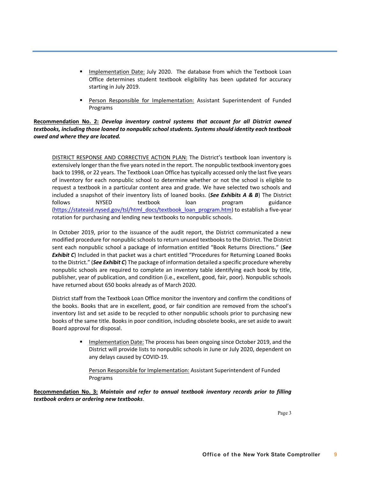- **■** Implementation Date: July 2020. The database from which the Textbook Loan Office determines student textbook eligibility has been updated for accuracy starting in July 2019.
- § Person Responsible for Implementation: Assistant Superintendent of Funded Programs

#### **Recommendation No. 2:** *Develop inventory control systems that account for all District owned textbooks, including those loaned to nonpublic school students. Systems should identity each textbook owed and where they are located.*

DISTRICT RESPONSE AND CORRECTIVE ACTION PLAN: The District's textbook loan inventory is extensively longer than the five years noted in the report. The nonpublic textbook inventory goes back to 1998, or 22 years. The Textbook Loan Office has typically accessed only the last five years of inventory for each nonpublic school to determine whether or not the school is eligible to request a textbook in a particular content area and grade. We have selected two schools and included a snapshot of their inventory lists of loaned books. (*See Exhibits A & B*) The District follows NYSED textbook loan program guidance [\(https://stateaid.nysed.gov/tsl/html\\_docs/textbook\\_loan\\_program.htm\) to](https://stateaid.nysed.gov/tsl/html_docs/textbook_loan_program.htm) establish a five-year rotation for purchasing and lending new textbooks to nonpublic schools.

In October 2019, prior to the issuance of the audit report, the District communicated a new modified procedure for nonpublic schools to return unused textbooks to the District. The District sent each nonpublic school a package of information entitled "Book Returns Directions." (*See*  **Exhibit C**) Included in that packet was a chart entitled "Procedures for Returning Loaned Books to the District." (*See Exhibit C*) The package of information detailed a specific procedure whereby nonpublic schools are required to complete an inventory table identifying each book by title, publisher, year of publication, and condition (i.e., excellent, good, fair, poor). Nonpublic schools have returned about 650 books already as of March 2020.

District staff from the Textbook Loan Office monitor the inventory and confirm the conditions of the books. Books that are in excellent, good, or fair condition are removed from the school's inventory list and set aside to be recycled to other nonpublic schools prior to purchasing new books of the same title. Books in poor condition, including obsolete books, are set aside to await Board approval for disposal.

> **■** Implementation Date: The process has been ongoing since October 2019, and the District will provide lists to nonpublic schools in June or July 2020, dependent on any delays caused by COVID-19.

Person Responsible for Implementation: Assistant Superintendent of Funded Programs

**Recommendation No. 3:** *Maintain and refer to annual textbook inventory records prior to filling textbook orders or ordering new textbooks*.

Page 3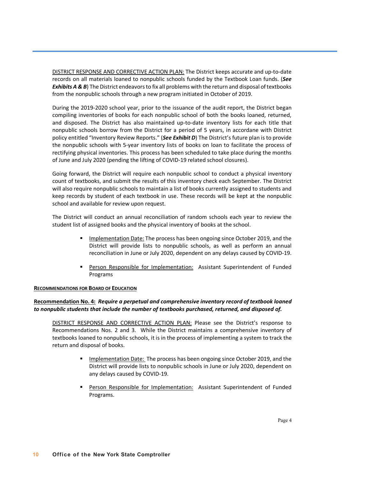DISTRICT RESPONSE AND CORRECTIVE ACTION PLAN: The District keeps accurate and up-to-date records on all materials loaned to nonpublic schools funded by the Textbook Loan funds. (*See Exhibits A & B*) The District endeavors to fix all problems with the return and disposal of textbooks from the nonpublic schools through a new program initiated in October of 2019.

During the 2019-2020 school year, prior to the issuance of the audit report, the District began compiling inventories of books for each nonpublic school of both the books loaned, returned, and disposed. The District has also maintained up-to-date inventory lists for each title that nonpublic schools borrow from the District for a period of 5 years, in accordane with District policy entitled "Inventory Review Reports." (*See Exhibit D*) The District's future plan is to provide the nonpublic schools with 5-year inventory lists of books on loan to facilitate the process of rectifying physical inventories. This process has been scheduled to take place during the months of June and July 2020 (pending the lifting of COVID-19 related school closures).

Going forward, the District will require each nonpublic school to conduct a physical inventory count of textbooks, and submit the results of this inventory check each September. The District will also require nonpublic schools to maintain a list of books currently assigned to students and keep records by student of each textbook in use. These records will be kept at the nonpublic school and available for review upon request.

The District will conduct an annual reconciliation of random schools each year to review the student list of assigned books and the physical inventory of books at the school.

- **EXEDM** Implementation Date: The process has been ongoing since October 2019, and the District will provide lists to nonpublic schools, as well as perform an annual reconciliation in June or July 2020, dependent on any delays caused by COVID-19.
- **Person Responsible for Implementation:** Assistant Superintendent of Funded Programs

#### **RECOMMENDATIONS FOR BOARD OF EDUCATION**

#### **Recommendation No. 4:** *Require a perpetual and comprehensive inventory record of textbook loaned to nonpublic students that include the number of textbooks purchased, returned, and disposed of.*

DISTRICT RESPONSE AND CORRECTIVE ACTION PLAN: Please see the District's response to Recommendations Nos. 2 and 3. While the District maintains a comprehensive inventory of textbooks loaned to nonpublic schools, it is in the process of implementing a system to track the return and disposal of books.

- § Implementation Date: The process has been ongoing since October 2019, and the District will provide lists to nonpublic schools in June or July 2020, dependent on any delays caused by COVID-19.
- **Person Responsible for Implementation:** Assistant Superintendent of Funded Programs.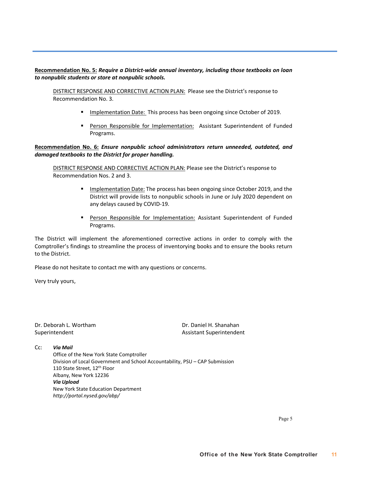#### **Recommendation No. 5:** *Require a District-wide annual inventory, including those textbooks on loan to nonpublic students or store at nonpublic schools.*

DISTRICT RESPONSE AND CORRECTIVE ACTION PLAN: Please see the District's response to Recommendation No. 3.

- **EXECT** Implementation Date: This process has been ongoing since October of 2019.
- Person Responsible for Implementation: Assistant Superintendent of Funded Programs.

#### **Recommendation No. 6:** *Ensure nonpublic school administrators return unneeded, outdated, and damaged textbooks to the District for proper handling.*

DISTRICT RESPONSE AND CORRECTIVE ACTION PLAN: Please see the District's response to Recommendation Nos. 2 and 3.

- Implementation Date: The process has been ongoing since October 2019, and the District will provide lists to nonpublic schools in June or July 2020 dependent on any delays caused by COVID-19.
- § Person Responsible for Implementation: Assistant Superintendent of Funded Programs.

The District will implement the aforementioned corrective actions in order to comply with the Comptroller's findings to streamline the process of inventorying books and to ensure the books return to the District.

Please do not hesitate to contact me with any questions or concerns.

Very truly yours,

Dr. Deborah L. Wortham Dr. Daniel H. Shanahan

Superintendent Assistant Superintendent

#### Cc: *Via Mail*

Office of the New York State Comptroller Division of Local Government and School Accountability, PSU – CAP Submission 110 State Street, 12<sup>th</sup> Floor Albany, New York 12236 *Via Upload* New York State Education Department *<http://portal.nysed.gov/abp/>*

Page 5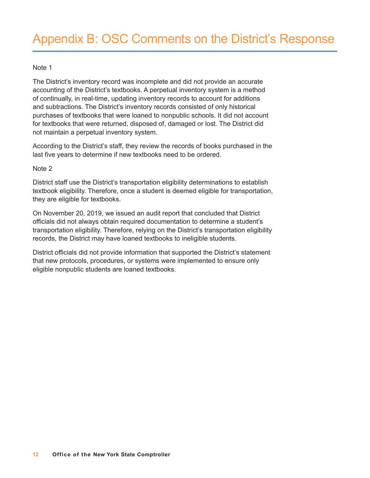### Note 1

The District's inventory record was incomplete and did not provide an accurate accounting of the District's textbooks. A perpetual inventory system is a method of continually, in real-time, updating inventory records to account for additions and subtractions. The District's inventory records consisted of only historical purchases of textbooks that were loaned to nonpublic schools. It did not account for textbooks that were returned, disposed of, damaged or lost. The District did not maintain a perpetual inventory system.

According to the District's staff, they review the records of books purchased in the last five years to determine if new textbooks need to be ordered.

### Note 2

District staff use the District's transportation eligibility determinations to establish textbook eligibility. Therefore, once a student is deemed eligible for transportation, they are eligible for textbooks.

On November 20, 2019, we issued an audit report that concluded that District officials did not always obtain required documentation to determine a student's transportation eligibility. Therefore, relying on the District's transportation eligibility records, the District may have loaned textbooks to ineligible students.

District officials did not provide information that supported the District's statement that new protocols, procedures, or systems were implemented to ensure only eligible nonpublic students are loaned textbooks.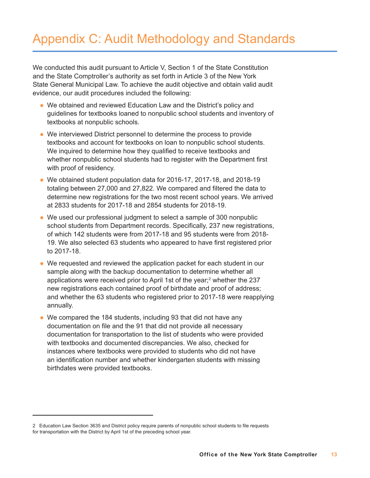# Appendix C: Audit Methodology and Standards

We conducted this audit pursuant to Article V, Section 1 of the State Constitution and the State Comptroller's authority as set forth in Article 3 of the New York State General Municipal Law. To achieve the audit objective and obtain valid audit evidence, our audit procedures included the following:

- We obtained and reviewed Education Law and the District's policy and guidelines for textbooks loaned to nonpublic school students and inventory of textbooks at nonpublic schools.
- We interviewed District personnel to determine the process to provide textbooks and account for textbooks on loan to nonpublic school students. We inquired to determine how they qualified to receive textbooks and whether nonpublic school students had to register with the Department first with proof of residency.
- We obtained student population data for 2016-17, 2017-18, and 2018-19 totaling between 27,000 and 27,822. We compared and filtered the data to determine new registrations for the two most recent school years. We arrived at 2833 students for 2017-18 and 2854 students for 2018-19.
- We used our professional judgment to select a sample of 300 nonpublic school students from Department records. Specifically, 237 new registrations, of which 142 students were from 2017-18 and 95 students were from 2018- 19. We also selected 63 students who appeared to have first registered prior to 2017-18.
- We requested and reviewed the application packet for each student in our sample along with the backup documentation to determine whether all applications were received prior to April 1st of the year;<sup>2</sup> whether the 237 new registrations each contained proof of birthdate and proof of address; and whether the 63 students who registered prior to 2017-18 were reapplying annually.
- $\bullet$  We compared the 184 students, including 93 that did not have any documentation on file and the 91 that did not provide all necessary documentation for transportation to the list of students who were provided with textbooks and documented discrepancies. We also, checked for instances where textbooks were provided to students who did not have an identification number and whether kindergarten students with missing birthdates were provided textbooks.

<sup>2</sup> Education Law Section 3635 and District policy require parents of nonpublic school students to file requests for transportation with the District by April 1st of the preceding school year.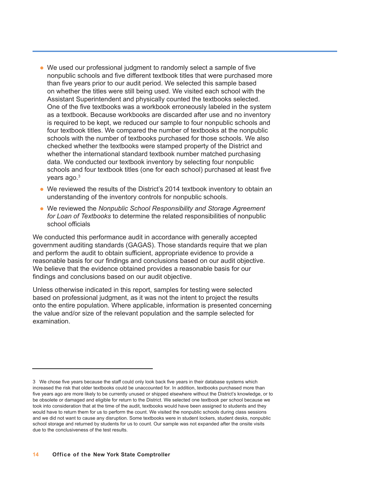- We used our professional judgment to randomly select a sample of five nonpublic schools and five different textbook titles that were purchased more than five years prior to our audit period. We selected this sample based on whether the titles were still being used. We visited each school with the Assistant Superintendent and physically counted the textbooks selected. One of the five textbooks was a workbook erroneously labeled in the system as a textbook. Because workbooks are discarded after use and no inventory is required to be kept, we reduced our sample to four nonpublic schools and four textbook titles. We compared the number of textbooks at the nonpublic schools with the number of textbooks purchased for those schools. We also checked whether the textbooks were stamped property of the District and whether the international standard textbook number matched purchasing data. We conducted our textbook inventory by selecting four nonpublic schools and four textbook titles (one for each school) purchased at least five years ago. 3
- We reviewed the results of the District's 2014 textbook inventory to obtain an understanding of the inventory controls for nonpublic schools.
- l We reviewed the *Nonpublic School Responsibility and Storage Agreement for Loan of Textbooks* to determine the related responsibilities of nonpublic school officials

We conducted this performance audit in accordance with generally accepted government auditing standards (GAGAS). Those standards require that we plan and perform the audit to obtain sufficient, appropriate evidence to provide a reasonable basis for our findings and conclusions based on our audit objective. We believe that the evidence obtained provides a reasonable basis for our findings and conclusions based on our audit objective.

Unless otherwise indicated in this report, samples for testing were selected based on professional judgment, as it was not the intent to project the results onto the entire population. Where applicable, information is presented concerning the value and/or size of the relevant population and the sample selected for examination.

<sup>3</sup> We chose five years because the staff could only look back five years in their database systems which increased the risk that older textbooks could be unaccounted for. In addition, textbooks purchased more than five years ago are more likely to be currently unused or shipped elsewhere without the District's knowledge, or to be obsolete or damaged and eligible for return to the District. We selected one textbook per school because we took into consideration that at the time of the audit, textbooks would have been assigned to students and they would have to return them for us to perform the count. We visited the nonpublic schools during class sessions and we did not want to cause any disruption. Some textbooks were in student lockers, student desks, nonpublic school storage and returned by students for us to count. Our sample was not expanded after the onsite visits due to the conclusiveness of the test results.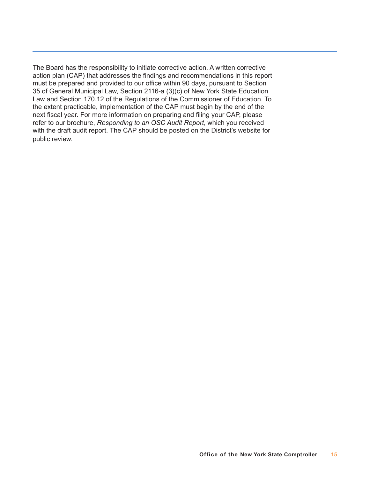The Board has the responsibility to initiate corrective action. A written corrective action plan (CAP) that addresses the findings and recommendations in this report must be prepared and provided to our office within 90 days, pursuant to Section 35 of General Municipal Law, Section 2116-a (3)(c) of New York State Education Law and Section 170.12 of the Regulations of the Commissioner of Education. To the extent practicable, implementation of the CAP must begin by the end of the next fiscal year. For more information on preparing and filing your CAP, please refer to our brochure, *Responding to an OSC Audit Report*, which you received with the draft audit report. The CAP should be posted on the District's website for public review.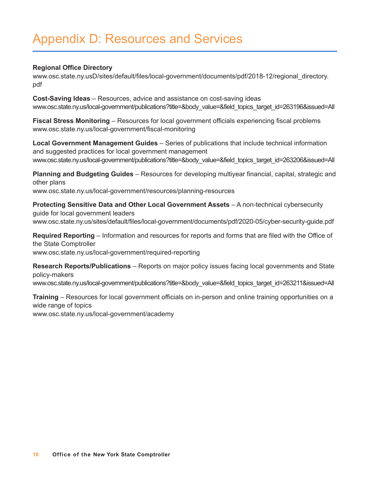## Appendix D: Resources and Services

### **Regional Office Directory**

[www.osc.state.ny.usD/sites/default/files/local-government/documents/pdf/2018-12/regional\\_directory.](http://www.osc.state.ny.usD/sites/default/files/local-government/documents/pdf/2018-12/regional_directory) pdf

**Cost-Saving Ideas** – Resources, advice and assistance on cost-saving ideas [www.osc.state.ny.us/local-government/publications?title=&body\\_value=&field\\_topics\\_target\\_id=263196&issued=All](http://www.osc.state.ny.us/local-government/publications?title=&body_value=&field_topics_target_id=263196&issued=All)

**Fiscal Stress Monitoring** – Resources for local government officials experiencing fiscal problems [www.osc.state.ny.us/local-government/fiscal-monitoring](http://www.osc.state.ny.us/local-government/fiscal-monitoring)

**Local Government Management Guides** – Series of publications that include technical information and suggested practices for local government management [www.osc.state.ny.us/local-government/publications?title=&body\\_value=&field\\_topics\\_target\\_id=263206&issued=All](http://www.osc.state.ny.us/local-government/publications?title=&body_value=&field_topics_target_id=263206&issued=All)

**Planning and Budgeting Guides** – Resources for developing multiyear financial, capital, strategic and other plans [www.osc.state.ny.us/local-government/resources/planning-resources](http://www.osc.state.ny.us/local-government/resources/planning-resources)

**Protecting Sensitive Data and Other Local Government Assets** – A non-technical cybersecurity guide for local government leaders [www.osc.state.ny.us/sites/default/files/local-government/documents/pdf/2020-05/cyber-security-guide.pdf](http://www.osc.state.ny.us/sites/default/files/local-government/documents/pdf/2020-05/cyber-security-guide.pdf)

**Required Reporting** – Information and resources for reports and forms that are filed with the Office of the State Comptroller [www.osc.state.ny.us/local-government/required-reporting](http://www.osc.state.ny.us/local-government/required-reporting)

**Research Reports/Publications** – Reports on major policy issues facing local governments and State policy-makers

[www.osc.state.ny.us/local-government/publications?title=&body\\_value=&field\\_topics\\_target\\_id=263211&issued=All](http://www.osc.state.ny.us/local-government/publications?title=&body_value=&field_topics_target_id=263211&issued=All)

**Training** – Resources for local government officials on in-person and online training opportunities on a wide range of topics

[www.osc.state.ny.us/local-government/academy](http://www.osc.state.ny.us/local-government/academy)